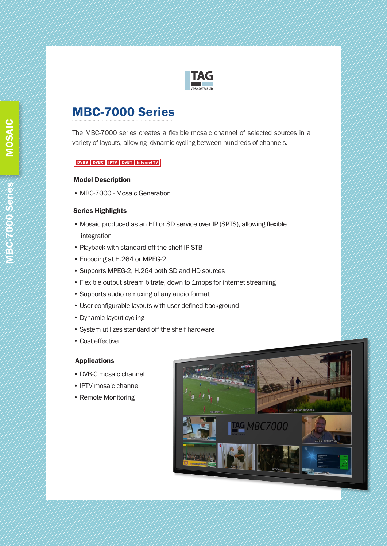

# MBC-7000 Series

The MBC-7000 series creates a flexible mosaic channel of selected sources in a variety of layouts, allowing dynamic cycling between hundreds of channels.

#### DVBS DVBC IPTV DVBT Internet TV

#### Model Description

• MBC-7000 - Mosaic Generation

### Series Highlights

- Mosaic produced as an HD or SD service over IP (SPTS), allowing flexible integration
- Playback with standard off the shelf IP STB
- Encoding at H.264 or MPEG-2
- Supports MPEG-2, H.264 both SD and HD sources
- Flexible output stream bitrate, down to 1mbps for internet streaming
- Supports audio remuxing of any audio format
- User configurable layouts with user defined background
- Dynamic layout cycling
- System utilizes standard off the shelf hardware
- Cost effective

## Applications

- DVB-C mosaic channel
- IPTV mosaic channel
- Remote Monitoring